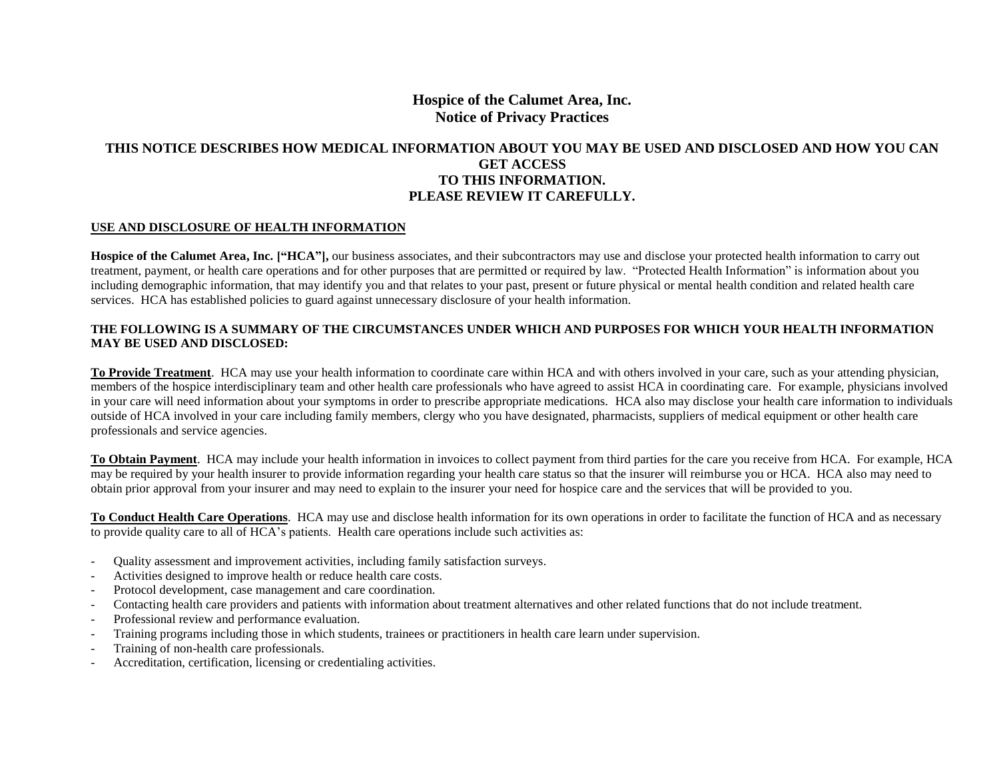# **Hospice of the Calumet Area, Inc. Notice of Privacy Practices**

## **THIS NOTICE DESCRIBES HOW MEDICAL INFORMATION ABOUT YOU MAY BE USED AND DISCLOSED AND HOW YOU CAN GET ACCESS TO THIS INFORMATION. PLEASE REVIEW IT CAREFULLY.**

#### **USE AND DISCLOSURE OF HEALTH INFORMATION**

**Hospice of the Calumet Area, Inc. ["HCA"],** our business associates, and their subcontractors may use and disclose your protected health information to carry out treatment, payment, or health care operations and for other purposes that are permitted or required by law. "Protected Health Information" is information about you including demographic information, that may identify you and that relates to your past, present or future physical or mental health condition and related health care services. HCA has established policies to guard against unnecessary disclosure of your health information.

#### **THE FOLLOWING IS A SUMMARY OF THE CIRCUMSTANCES UNDER WHICH AND PURPOSES FOR WHICH YOUR HEALTH INFORMATION MAY BE USED AND DISCLOSED:**

**To Provide Treatment**. HCA may use your health information to coordinate care within HCA and with others involved in your care, such as your attending physician, members of the hospice interdisciplinary team and other health care professionals who have agreed to assist HCA in coordinating care. For example, physicians involved in your care will need information about your symptoms in order to prescribe appropriate medications. HCA also may disclose your health care information to individuals outside of HCA involved in your care including family members, clergy who you have designated, pharmacists, suppliers of medical equipment or other health care professionals and service agencies.

**To Obtain Payment**. HCA may include your health information in invoices to collect payment from third parties for the care you receive from HCA. For example, HCA may be required by your health insurer to provide information regarding your health care status so that the insurer will reimburse you or HCA. HCA also may need to obtain prior approval from your insurer and may need to explain to the insurer your need for hospice care and the services that will be provided to you.

**To Conduct Health Care Operations**. HCA may use and disclose health information for its own operations in order to facilitate the function of HCA and as necessary to provide quality care to all of HCA's patients. Health care operations include such activities as:

- Quality assessment and improvement activities, including family satisfaction surveys.
- Activities designed to improve health or reduce health care costs.
- Protocol development, case management and care coordination.
- Contacting health care providers and patients with information about treatment alternatives and other related functions that do not include treatment.
- Professional review and performance evaluation.
- Training programs including those in which students, trainees or practitioners in health care learn under supervision.
- Training of non-health care professionals.
- Accreditation, certification, licensing or credentialing activities.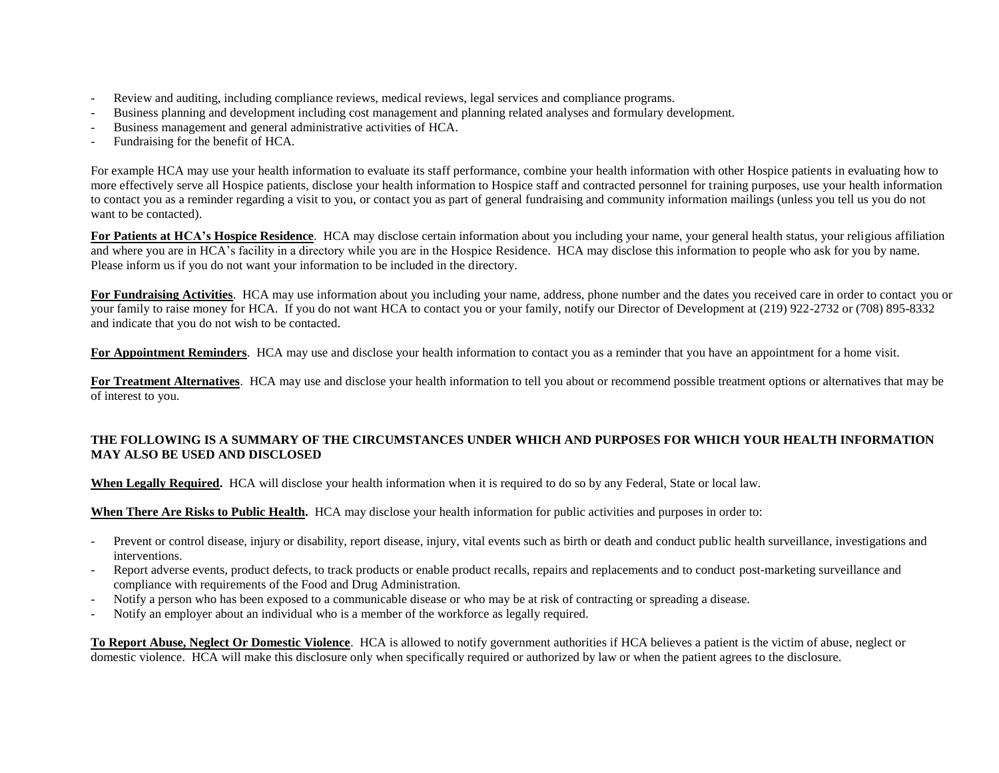- Review and auditing, including compliance reviews, medical reviews, legal services and compliance programs.
- Business planning and development including cost management and planning related analyses and formulary development.
- Business management and general administrative activities of HCA.
- Fundraising for the benefit of HCA.

For example HCA may use your health information to evaluate its staff performance, combine your health information with other Hospice patients in evaluating how to more effectively serve all Hospice patients, disclose your health information to Hospice staff and contracted personnel for training purposes, use your health information to contact you as a reminder regarding a visit to you, or contact you as part of general fundraising and community information mailings (unless you tell us you do not want to be contacted).

For Patients at HCA's Hospice Residence. HCA may disclose certain information about you including your name, your general health status, your religious affiliation and where you are in HCA's facility in a directory while you are in the Hospice Residence. HCA may disclose this information to people who ask for you by name. Please inform us if you do not want your information to be included in the directory.

For Fundraising Activities. HCA may use information about you including your name, address, phone number and the dates you received care in order to contact you or your family to raise money for HCA. If you do not want HCA to contact you or your family, notify our Director of Development at (219) 922-2732 or (708) 895-8332 and indicate that you do not wish to be contacted.

**For Appointment Reminders**. HCA may use and disclose your health information to contact you as a reminder that you have an appointment for a home visit.

**For Treatment Alternatives**. HCA may use and disclose your health information to tell you about or recommend possible treatment options or alternatives that may be of interest to you.

### **THE FOLLOWING IS A SUMMARY OF THE CIRCUMSTANCES UNDER WHICH AND PURPOSES FOR WHICH YOUR HEALTH INFORMATION MAY ALSO BE USED AND DISCLOSED**

**When Legally Required.** HCA will disclose your health information when it is required to do so by any Federal, State or local law.

**When There Are Risks to Public Health.** HCA may disclose your health information for public activities and purposes in order to:

- Prevent or control disease, injury or disability, report disease, injury, vital events such as birth or death and conduct public health surveillance, investigations and interventions.
- Report adverse events, product defects, to track products or enable product recalls, repairs and replacements and to conduct post-marketing surveillance and compliance with requirements of the Food and Drug Administration.
- Notify a person who has been exposed to a communicable disease or who may be at risk of contracting or spreading a disease.
- Notify an employer about an individual who is a member of the workforce as legally required.

**To Report Abuse, Neglect Or Domestic Violence**. HCA is allowed to notify government authorities if HCA believes a patient is the victim of abuse, neglect or domestic violence. HCA will make this disclosure only when specifically required or authorized by law or when the patient agrees to the disclosure.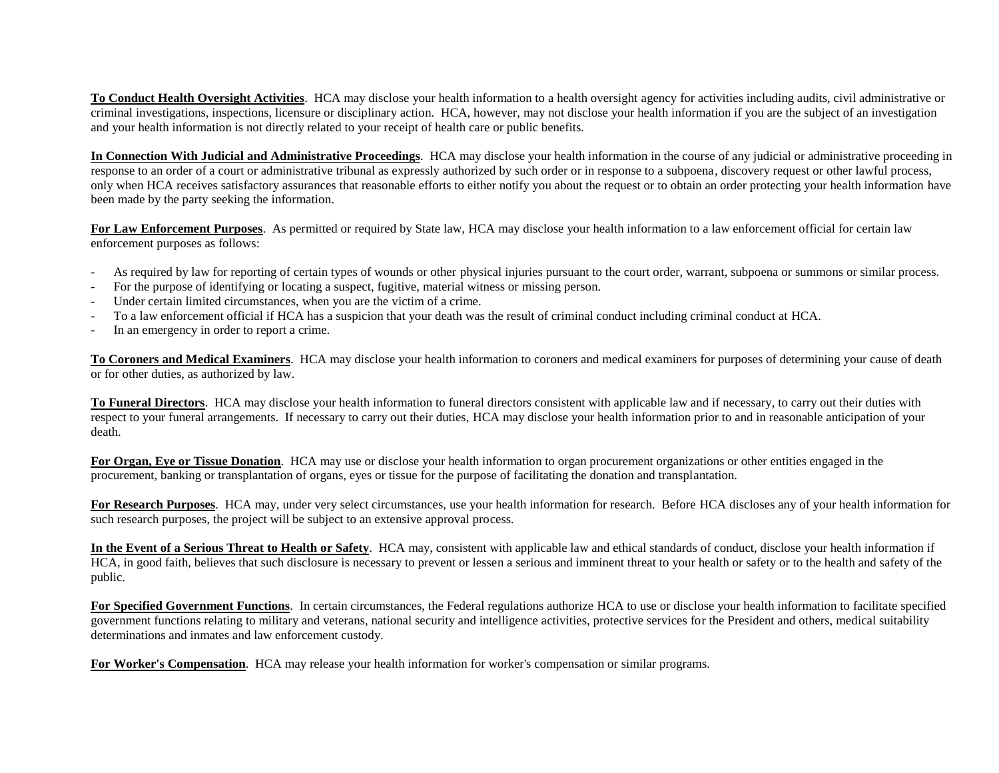**To Conduct Health Oversight Activities**. HCA may disclose your health information to a health oversight agency for activities including audits, civil administrative or criminal investigations, inspections, licensure or disciplinary action. HCA, however, may not disclose your health information if you are the subject of an investigation and your health information is not directly related to your receipt of health care or public benefits.

**In Connection With Judicial and Administrative Proceedings**. HCA may disclose your health information in the course of any judicial or administrative proceeding in response to an order of a court or administrative tribunal as expressly authorized by such order or in response to a subpoena, discovery request or other lawful process, only when HCA receives satisfactory assurances that reasonable efforts to either notify you about the request or to obtain an order protecting your health information have been made by the party seeking the information.

**For Law Enforcement Purposes**. As permitted or required by State law, HCA may disclose your health information to a law enforcement official for certain law enforcement purposes as follows:

- As required by law for reporting of certain types of wounds or other physical injuries pursuant to the court order, warrant, subpoena or summons or similar process.
- For the purpose of identifying or locating a suspect, fugitive, material witness or missing person.
- Under certain limited circumstances, when you are the victim of a crime.
- To a law enforcement official if HCA has a suspicion that your death was the result of criminal conduct including criminal conduct at HCA.
- In an emergency in order to report a crime.

**To Coroners and Medical Examiners**. HCA may disclose your health information to coroners and medical examiners for purposes of determining your cause of death or for other duties, as authorized by law.

**To Funeral Directors**. HCA may disclose your health information to funeral directors consistent with applicable law and if necessary, to carry out their duties with respect to your funeral arrangements. If necessary to carry out their duties, HCA may disclose your health information prior to and in reasonable anticipation of your death.

**For Organ, Eye or Tissue Donation**. HCA may use or disclose your health information to organ procurement organizations or other entities engaged in the procurement, banking or transplantation of organs, eyes or tissue for the purpose of facilitating the donation and transplantation.

**For Research Purposes**. HCA may, under very select circumstances, use your health information for research. Before HCA discloses any of your health information for such research purposes, the project will be subject to an extensive approval process.

**In the Event of a Serious Threat to Health or Safety**. HCA may, consistent with applicable law and ethical standards of conduct, disclose your health information if HCA, in good faith, believes that such disclosure is necessary to prevent or lessen a serious and imminent threat to your health or safety or to the health and safety of the public.

**For Specified Government Functions**. In certain circumstances, the Federal regulations authorize HCA to use or disclose your health information to facilitate specified government functions relating to military and veterans, national security and intelligence activities, protective services for the President and others, medical suitability determinations and inmates and law enforcement custody.

**For Worker's Compensation**. HCA may release your health information for worker's compensation or similar programs.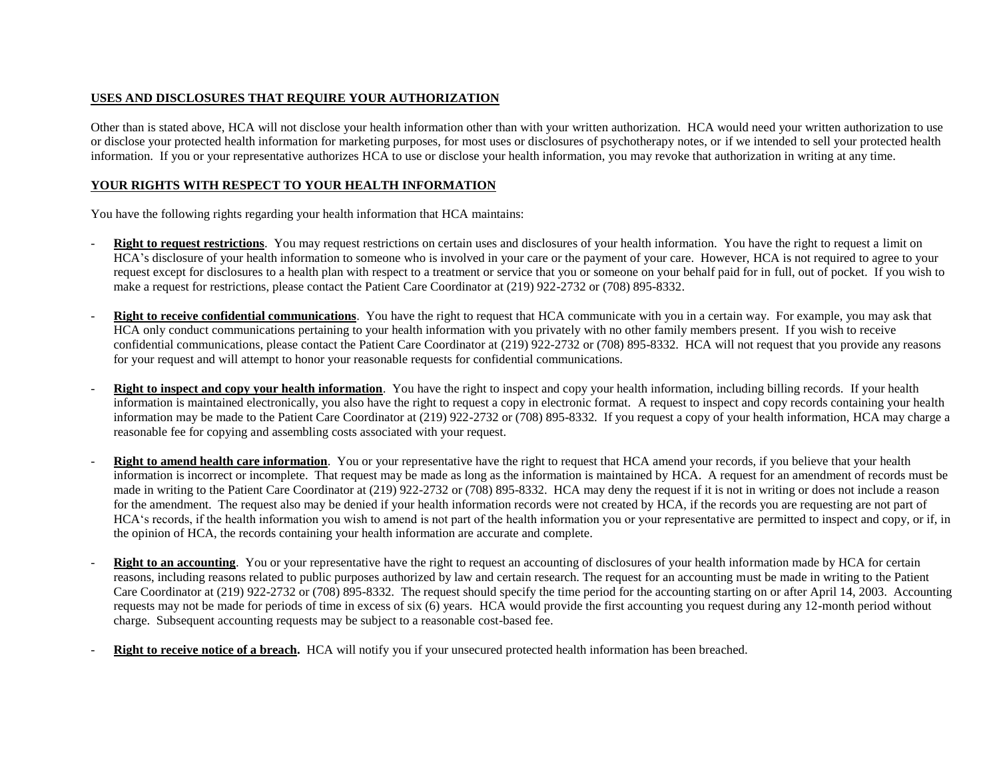### **USES AND DISCLOSURES THAT REQUIRE YOUR AUTHORIZATION**

Other than is stated above, HCA will not disclose your health information other than with your written authorization. HCA would need your written authorization to use or disclose your protected health information for marketing purposes, for most uses or disclosures of psychotherapy notes, or if we intended to sell your protected health information. If you or your representative authorizes HCA to use or disclose your health information, you may revoke that authorization in writing at any time.

### **YOUR RIGHTS WITH RESPECT TO YOUR HEALTH INFORMATION**

You have the following rights regarding your health information that HCA maintains:

- **Right to request restrictions**. You may request restrictions on certain uses and disclosures of your health information. You have the right to request a limit on HCA's disclosure of your health information to someone who is involved in your care or the payment of your care. However, HCA is not required to agree to your request except for disclosures to a health plan with respect to a treatment or service that you or someone on your behalf paid for in full, out of pocket. If you wish to make a request for restrictions, please contact the Patient Care Coordinator at (219) 922-2732 or (708) 895-8332.
- **Right to receive confidential communications**. You have the right to request that HCA communicate with you in a certain way. For example, you may ask that HCA only conduct communications pertaining to your health information with you privately with no other family members present. If you wish to receive confidential communications, please contact the Patient Care Coordinator at (219) 922-2732 or (708) 895-8332. HCA will not request that you provide any reasons for your request and will attempt to honor your reasonable requests for confidential communications.
- **Right to inspect and copy your health information**. You have the right to inspect and copy your health information, including billing records. If your health information is maintained electronically, you also have the right to request a copy in electronic format. A request to inspect and copy records containing your health information may be made to the Patient Care Coordinator at (219) 922-2732 or (708) 895-8332*.* If you request a copy of your health information, HCA may charge a reasonable fee for copying and assembling costs associated with your request.
- **Right to amend health care information**. You or your representative have the right to request that HCA amend your records, if you believe that your health information is incorrect or incomplete. That request may be made as long as the information is maintained by HCA. A request for an amendment of records must be made in writing to the Patient Care Coordinator at (219) 922-2732 or (708) 895-8332. HCA may deny the request if it is not in writing or does not include a reason for the amendment. The request also may be denied if your health information records were not created by HCA, if the records you are requesting are not part of HCA's records, if the health information you wish to amend is not part of the health information you or your representative are permitted to inspect and copy, or if, in the opinion of HCA, the records containing your health information are accurate and complete.
- **Right to an accounting**. You or your representative have the right to request an accounting of disclosures of your health information made by HCA for certain reasons, including reasons related to public purposes authorized by law and certain research. The request for an accounting must be made in writing to the Patient Care Coordinator at (219) 922-2732 or (708) 895-8332*.* The request should specify the time period for the accounting starting on or after April 14, 2003. Accounting requests may not be made for periods of time in excess of six (6) years. HCA would provide the first accounting you request during any 12-month period without charge. Subsequent accounting requests may be subject to a reasonable cost-based fee.
- **Right to receive notice of a breach.** HCA will notify you if your unsecured protected health information has been breached.